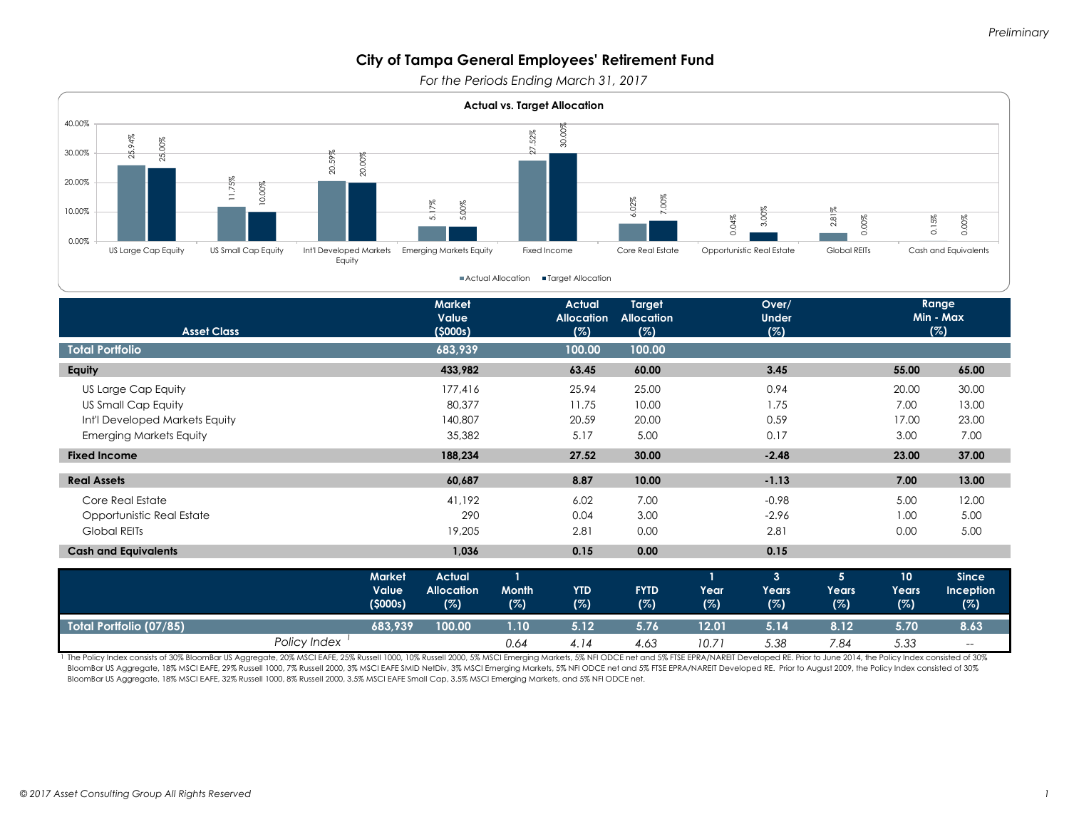*For the Periods Ending March 31, 2017*



| <b>Cash and Equivalents</b> |                                          | 1,036                                     |              | 0.15              | 0.00               |              | 0.15              |              |                    |                                         |
|-----------------------------|------------------------------------------|-------------------------------------------|--------------|-------------------|--------------------|--------------|-------------------|--------------|--------------------|-----------------------------------------|
|                             | <b>Market</b><br><b>Value</b><br>(5000s) | <b>Actual</b><br><b>Allocation</b><br>(%) | Month<br>(%) | <b>YTD</b><br>(%) | <b>FYTD</b><br>(%) | Year'<br>(%) | 3<br>Years<br>(%) | Years<br>(%) | 10<br>Years<br>(%) | <b>Since</b><br><b>Inception</b><br>(%) |
| Total Portfolio (07/85),    | 683,939                                  | 100.00                                    | 1.10         | 5.12              | 5.76               | 12.01        | 5.14              | 8.12         | 5.70               | 8.63                                    |
| Policy Index                |                                          |                                           | 0.64         | 4.14              | 4.63               | 10.71        | 5.38              | 7.84         | 5.33               | $- -$                                   |

The Policy Index consists of 30% BloomBar US Aggregate, 20% MSCI EAFE, 25% Russell 1000, 10% Russell 2000, 5% MSCI Emerging Markets, 5% NFI ODCE net and 5% FTSE EPRA/NAREIT Developed RE. Prior to June 2014, the Policy Inde BloomBar US Aggregate, 18% MSCI EAFE, 29% Russell 1000, 7% Russell 2000, 3% MSCI EAFE SMID NetDiv, 3% MSCI Emerging Markets, 5% NFI ODCE net and 5% FTSE EPRA/NAREIT Developed RE. Prior to August 2009, the Policy Index cons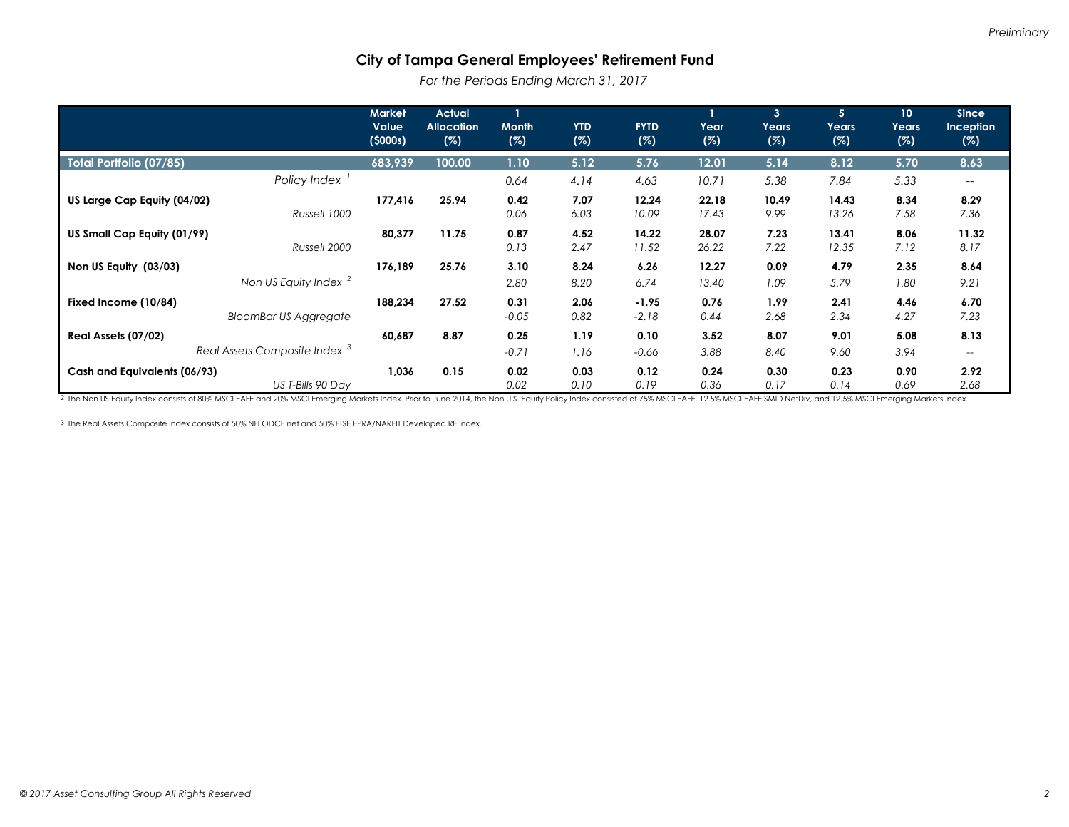*For the Periods Ending March 31, 2017*

|                                                                 | <b>Market</b><br>Value<br>(5000s) | <b>Actual</b><br><b>Allocation</b><br>(%) | Month<br>(%)    | <b>YTD</b><br>(%) | <b>FYTD</b><br>(%) | Year<br>(%)    | $\mathbf{3}$<br>Years<br>(%) | 5 <sup>1</sup><br>Years<br>(%) | 10<br>Years<br>(%) | <b>Since</b><br><b>Inception</b><br>(%) |
|-----------------------------------------------------------------|-----------------------------------|-------------------------------------------|-----------------|-------------------|--------------------|----------------|------------------------------|--------------------------------|--------------------|-----------------------------------------|
| <b>Total Portfolio (07/85)</b>                                  | 683,939                           | 100.00                                    | 1.10            | 5.12              | 5.76               | 12.01          | 5.14                         | 8.12                           | 5.70               | 8.63                                    |
| Policy Index                                                    |                                   |                                           | 0.64            | 4.14              | 4.63               | 10.71          | 5.38                         | 7.84                           | 5.33               | $\overline{\phantom{m}}$                |
| US Large Cap Equity (04/02)<br>Russell 1000                     | 177,416                           | 25.94                                     | 0.42<br>0.06    | 7.07<br>6.03      | 12.24<br>10.09     | 22.18<br>17.43 | 10.49<br>9.99                | 14.43<br>13.26                 | 8.34<br>7.58       | 8.29<br>7.36                            |
| US Small Cap Equity (01/99)<br>Russell 2000                     | 80,377                            | 11.75                                     | 0.87<br>0.13    | 4.52<br>2.47      | 14.22<br>11.52     | 28.07<br>26.22 | 7.23<br>7.22                 | 13.41<br>12.35                 | 8.06<br>7.12       | 11.32<br>8.17                           |
| Non US Equity (03/03)<br>Non US Equity Index <sup>2</sup>       | 176,189                           | 25.76                                     | 3.10<br>2.80    | 8.24<br>8.20      | 6.26<br>6.74       | 12.27<br>13.40 | 0.09<br>1.09                 | 4.79<br>5.79                   | 2.35<br>1.80       | 8.64<br>9.21                            |
| Fixed Income (10/84)<br><b>BloomBar US Aggregate</b>            | 188,234                           | 27.52                                     | 0.31<br>$-0.05$ | 2.06<br>0.82      | $-1.95$<br>$-2.18$ | 0.76<br>0.44   | 1.99<br>2.68                 | 2.41<br>2.34                   | 4.46<br>4.27       | 6.70<br>7.23                            |
| Real Assets (07/02)<br>Real Assets Composite Index <sup>3</sup> | 60,687                            | 8.87                                      | 0.25<br>$-0.71$ | 1.19<br>1.16      | 0.10<br>$-0.66$    | 3.52<br>3.88   | 8.07<br>8.40                 | 9.01<br>9.60                   | 5.08<br>3.94       | 8.13<br>$-\!$                           |
| Cash and Equivalents (06/93)<br>US T-Bills 90 Day               | 1,036                             | 0.15                                      | 0.02<br>0.02    | 0.03<br>0.10      | 0.12<br>0.19       | 0.24<br>0.36   | 0.30<br>0.17                 | 0.23<br>0.14                   | 0.90<br>0.69       | 2.92<br>2.68                            |

2 The Non US Equity Index consists of 80% MSCI EAFE and 20% MSCI Emerging Markets Index. Prior to June 2014, the Non U.S. Equity Policy Index consisted of 75% MSCI EAFE, 12.5% MSCI EAFE SMID NetDiv, and 12.5% MSCI Emerging

3 The Real Assets Composite Index consists of 50% NFI ODCE net and 50% FTSE EPRA/NAREIT Developed RE Index.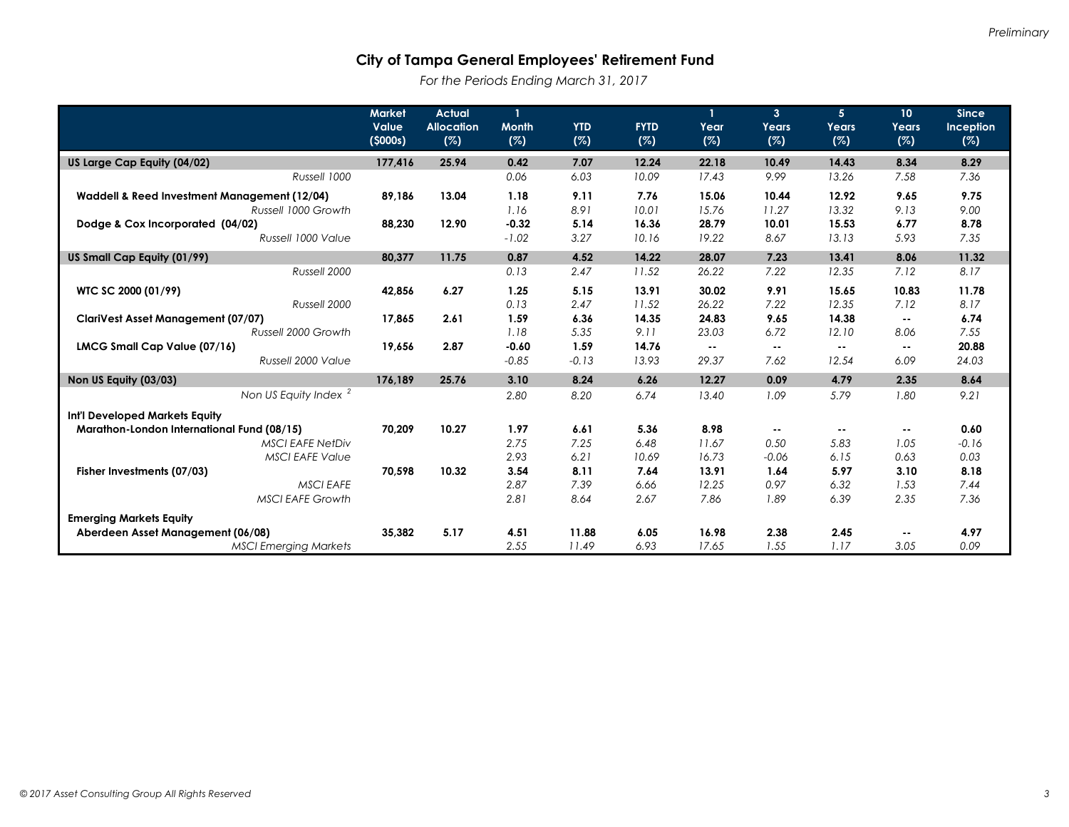*For the Periods Ending March 31, 2017*

|                                              | <b>Market</b>    | <b>Actual</b>            | 1                   |                   |                    |             | $\mathbf{3}$ | 5 <sup>5</sup> | 10 <sup>°</sup> | <b>Since</b>     |
|----------------------------------------------|------------------|--------------------------|---------------------|-------------------|--------------------|-------------|--------------|----------------|-----------------|------------------|
|                                              | Value<br>(5000s) | <b>Allocation</b><br>(%) | <b>Month</b><br>(%) | <b>YTD</b><br>(%) | <b>FYTD</b><br>(%) | Year<br>(%) | Years<br>(%) | Years<br>(%)   | Years<br>(%)    | Inception<br>(%) |
| US Large Cap Equity (04/02)                  | 177,416          | 25.94                    | 0.42                | 7.07              | 12.24              | 22.18       | 10.49        | 14.43          | 8.34            | 8.29             |
| Russell 1000                                 |                  |                          | 0.06                | 6.03              | 10.09              | 17.43       | 9.99         | 13.26          | 7.58            | 7.36             |
| Waddell & Reed Investment Management (12/04) | 89,186           | 13.04                    | 1.18                | 9.11              | 7.76               | 15.06       | 10.44        | 12.92          | 9.65            | 9.75             |
| Russell 1000 Growth                          |                  |                          | 1.16                | 8.91              | 10.01              | 15.76       | 11.27        | 13.32          | 9.13            | 9.00             |
| Dodge & Cox Incorporated (04/02)             | 88,230           | 12.90                    | $-0.32$             | 5.14              | 16.36              | 28.79       | 10.01        | 15.53          | 6.77            | 8.78             |
| Russell 1000 Value                           |                  |                          | $-1.02$             | 3.27              | 10.16              | 19.22       | 8.67         | 13.13          | 5.93            | 7.35             |
| US Small Cap Equity (01/99)                  | 80,377           | 11.75                    | 0.87                | 4.52              | 14.22              | 28.07       | 7.23         | 13.41          | 8.06            | 11.32            |
| Russell 2000                                 |                  |                          | 0.13                | 2.47              | 11.52              | 26.22       | 7.22         | 12.35          | 7.12            | 8.17             |
| WTC SC 2000 (01/99)                          | 42,856           | 6.27                     | 1.25                | 5.15              | 13.91              | 30.02       | 9.91         | 15.65          | 10.83           | 11.78            |
| Russell 2000                                 |                  |                          | 0.13                | 2.47              | 11.52              | 26.22       | 7.22         | 12.35          | 7.12            | 8.17             |
| <b>ClariVest Asset Management (07/07)</b>    | 17,865           | 2.61                     | 1.59                | 6.36              | 14.35              | 24.83       | 9.65         | 14.38          | $\sim$ $\sim$   | 6.74             |
| Russell 2000 Growth                          |                  |                          | 1.18                | 5.35              | 9.11               | 23.03       | 6.72         | 12.10          | 8.06            | 7.55             |
| LMCG Small Cap Value (07/16)                 | 19.656           | 2.87                     | $-0.60$             | 1.59              | 14.76              | $\sim$ $-$  |              | $\sim$ $\sim$  |                 | 20.88            |
| Russell 2000 Value                           |                  |                          | $-0.85$             | $-0.13$           | 13.93              | 29.37       | 7.62         | 12.54          | 6.09            | 24.03            |
| Non US Equity (03/03)                        | 176,189          | 25.76                    | 3.10                | 8.24              | 6.26               | 12.27       | 0.09         | 4.79           | 2.35            | 8.64             |
| Non US Equity Index <sup>2</sup>             |                  |                          | 2.80                | 8.20              | 6.74               | 13.40       | 1.09         | 5.79           | 1.80            | 9.21             |
| Int'l Developed Markets Equity               |                  |                          |                     |                   |                    |             |              |                |                 |                  |
| Marathon-London International Fund (08/15)   | 70,209           | 10.27                    | 1.97                | 6.61              | 5.36               | 8.98        |              | $\sim$ $\sim$  | н.              | 0.60             |
| <b>MSCI EAFE NetDiv</b>                      |                  |                          | 2.75                | 7.25              | 6.48               | 11.67       | 0.50         | 5.83           | 1.05            | $-0.16$          |
| <b>MSCI EAFE Value</b>                       |                  |                          | 2.93                | 6.21              | 10.69              | 16.73       | $-0.06$      | 6.15           | 0.63            | 0.03             |
| Fisher Investments (07/03)                   | 70,598           | 10.32                    | 3.54                | 8.11              | 7.64               | 13.91       | 1.64         | 5.97           | 3.10            | 8.18             |
| <b>MSCI EAFE</b>                             |                  |                          | 2.87                | 7.39              | 6.66               | 12.25       | 0.97         | 6.32           | 1.53            | 7.44             |
| <b>MSCI EAFE Growth</b>                      |                  |                          | 2.81                | 8.64              | 2.67               | 7.86        | 1.89         | 6.39           | 2.35            | 7.36             |
| <b>Emerging Markets Equity</b>               |                  |                          |                     |                   |                    |             |              |                |                 |                  |
| Aberdeen Asset Management (06/08)            | 35.382           | 5.17                     | 4.51                | 11.88             | 6.05               | 16.98       | 2.38         | 2.45           | $\sim$ $-$      | 4.97             |
| <b>MSCI Emerging Markets</b>                 |                  |                          | 2.55                | 11.49             | 6.93               | 17.65       | 1.55         | 1.17           | 3.05            | 0.09             |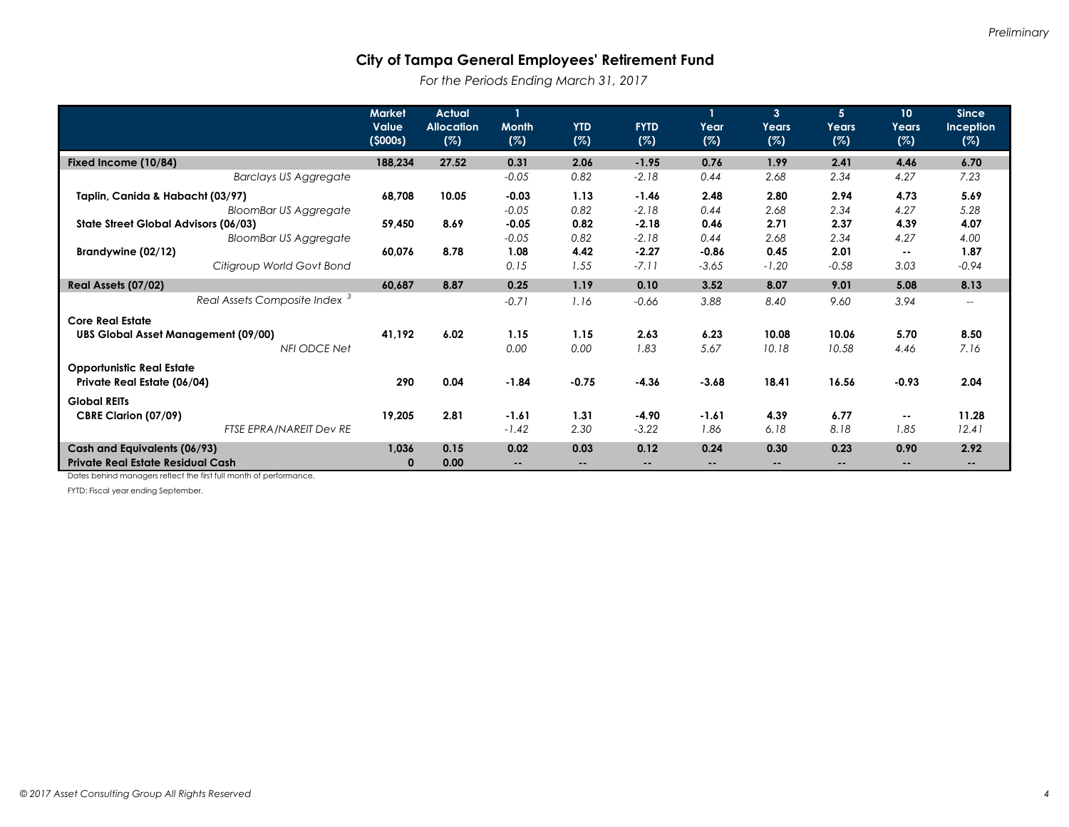*For the Periods Ending March 31, 2017*

|                                            | <b>Market</b><br>Value<br>(5000s) | <b>Actual</b><br><b>Allocation</b><br>(%) | <b>Month</b><br>(%) | <b>YTD</b><br>(%) | <b>FYTD</b><br>(%) | Year<br>(%) | 3 <sup>1</sup><br>Years<br>(%) | 5<br>Years<br>(%) | 10<br>Years<br>(%) | <b>Since</b><br><b>Inception</b><br>(%) |
|--------------------------------------------|-----------------------------------|-------------------------------------------|---------------------|-------------------|--------------------|-------------|--------------------------------|-------------------|--------------------|-----------------------------------------|
| Fixed Income (10/84)                       | 188,234                           | 27.52                                     | 0.31                | 2.06              | $-1.95$            | 0.76        | 1.99                           | 2.41              | 4.46               | 6.70                                    |
| <b>Barclays US Aggregate</b>               |                                   |                                           | $-0.05$             | 0.82              | $-2.18$            | 0.44        | 2.68                           | 2.34              | 4.27               | 7.23                                    |
| Taplin, Canida & Habacht (03/97)           | 68,708                            | 10.05                                     | $-0.03$             | 1.13              | $-1.46$            | 2.48        | 2.80                           | 2.94              | 4.73               | 5.69                                    |
| <b>BloomBar US Aggregate</b>               |                                   |                                           | $-0.05$             | 0.82              | $-2.18$            | 0.44        | 2.68                           | 2.34              | 4.27               | 5.28                                    |
| State Street Global Advisors (06/03)       | 59,450                            | 8.69                                      | $-0.05$             | 0.82              | $-2.18$            | 0.46        | 2.71                           | 2.37              | 4.39               | 4.07                                    |
| <b>BloomBar US Aggregate</b>               |                                   |                                           | $-0.05$             | 0.82              | $-2.18$            | 0.44        | 2.68                           | 2.34              | 4.27               | 4.00                                    |
| Brandywine (02/12)                         | 60,076                            | 8.78                                      | 1.08                | 4.42              | $-2.27$            | $-0.86$     | 0.45                           | 2.01              | $\sim$             | 1.87                                    |
| Citigroup World Govt Bond                  |                                   |                                           | 0.15                | 1.55              | $-7.11$            | $-3.65$     | $-1.20$                        | $-0.58$           | 3.03               | $-0.94$                                 |
| Real Assets (07/02)                        | 60,687                            | 8.87                                      | 0.25                | 1.19              | 0.10               | 3.52        | 8.07                           | 9.01              | 5.08               | 8.13                                    |
| Real Assets Composite Index <sup>3</sup>   |                                   |                                           | $-0.71$             | 1.16              | $-0.66$            | 3.88        | 8.40                           | 9.60              | 3.94               | $\overline{\phantom{a}}$                |
| <b>Core Real Estate</b>                    |                                   |                                           |                     |                   |                    |             |                                |                   |                    |                                         |
| <b>UBS Global Asset Management (09/00)</b> | 41,192                            | 6.02                                      | 1.15                | 1.15              | 2.63               | 6.23        | 10.08                          | 10.06             | 5.70               | 8.50                                    |
| NFI ODCE Net                               |                                   |                                           | 0.00                | 0.00              | 1.83               | 5.67        | 10.18                          | 10.58             | 4.46               | 7.16                                    |
| <b>Opportunistic Real Estate</b>           |                                   |                                           |                     |                   |                    |             |                                |                   |                    |                                         |
| Private Real Estate (06/04)                | 290                               | 0.04                                      | $-1.84$             | $-0.75$           | $-4.36$            | $-3.68$     | 18.41                          | 16.56             | $-0.93$            | 2.04                                    |
| <b>Global REITs</b>                        |                                   |                                           |                     |                   |                    |             |                                |                   |                    |                                         |
| CBRE Clarion (07/09)                       | 19,205                            | 2.81                                      | $-1.61$             | 1.31              | $-4.90$            | $-1.61$     | 4.39                           | 6.77              | $\sim$             | 11.28                                   |
| FTSE EPRA/NAREIT Dev RE                    |                                   |                                           | $-1.42$             | 2.30              | $-3.22$            | 1.86        | 6.18                           | 8.18              | 1.85               | 12.41                                   |
| Cash and Equivalents (06/93)               | 1,036                             | 0.15                                      | 0.02                | 0.03              | 0.12               | 0.24        | 0.30                           | 0.23              | 0.90               | 2.92                                    |
| <b>Private Real Estate Residual Cash</b>   | $\bf{0}$                          | 0.00                                      |                     |                   | $\sim$             | --          |                                |                   |                    |                                         |

Dates behind managers reflect the first full month of performance.

FYTD: Fiscal year ending September.